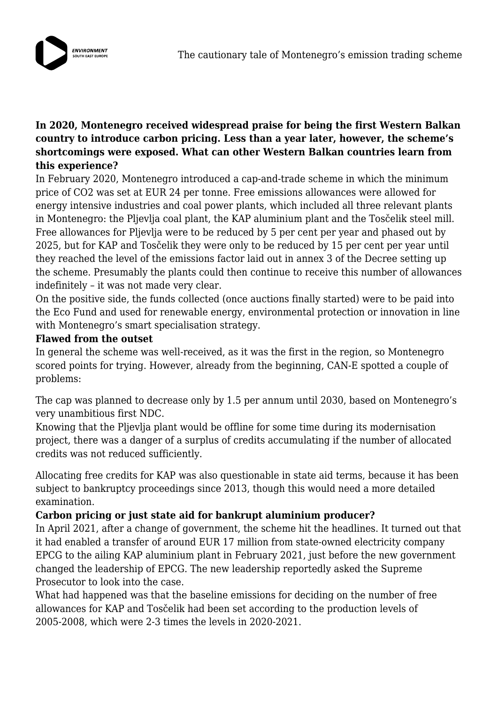

# **In 2020, Montenegro received widespread praise for being the first Western Balkan country to introduce carbon pricing. Less than a year later, however, the scheme's shortcomings were exposed. What can other Western Balkan countries learn from this experience?**

In February 2020, Montenegro introduced a cap-and-trade scheme in which the minimum price of CO2 was set at EUR 24 per tonne. Free emissions allowances were allowed for energy intensive industries and coal power plants, which included all three relevant plants in Montenegro: the Pljevlja coal plant, the KAP aluminium plant and the Tosčelik steel mill. Free allowances for Pljevlja were to be reduced by 5 per cent per year and phased out by 2025, but for KAP and Tosčelik they were only to be reduced by 15 per cent per year until they reached the level of the emissions factor laid out in annex 3 of the Decree setting up the scheme. Presumably the plants could then continue to receive this number of allowances indefinitely – it was not made very clear.

On the positive side, the funds collected (once auctions finally started) were to be paid into the Eco Fund and used for renewable energy, environmental protection or innovation in line with Montenegro's smart specialisation strategy.

#### **Flawed from the outset**

In general the scheme was well-received, as it was the first in the region, so Montenegro scored points for trying. However, already from the beginning, CAN-E spotted a couple of problems:

The cap was planned to decrease only by 1.5 per annum until 2030, based on Montenegro's very unambitious first NDC.

Knowing that the Pljevlja plant would be offline for some time during its modernisation project, there was a danger of a surplus of credits accumulating if the number of allocated credits was not reduced sufficiently.

Allocating free credits for KAP was also questionable in state aid terms, because it has been subject to bankruptcy proceedings since 2013, though this would need a more detailed examination.

# **Carbon pricing or just state aid for bankrupt aluminium producer?**

In April 2021, after a change of government, the scheme hit the headlines. It turned out that it had enabled a transfer of around EUR 17 million from state-owned electricity company EPCG to the ailing KAP aluminium plant in February 2021, just before the new government changed the leadership of EPCG. The new leadership reportedly asked the Supreme Prosecutor to look into the case.

What had happened was that the baseline emissions for deciding on the number of free allowances for KAP and Tosčelik had been set according to the production levels of 2005-2008, which were 2-3 times the levels in 2020-2021.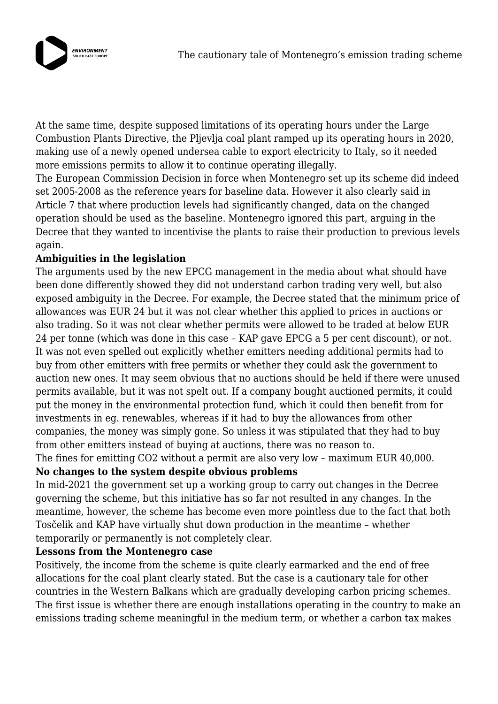

At the same time, despite supposed limitations of its operating hours under the Large Combustion Plants Directive, the Pljevlja coal plant ramped up its operating hours in 2020, making use of a newly opened undersea cable to export electricity to Italy, so it needed more emissions permits to allow it to continue operating illegally.

The European Commission Decision in force when Montenegro set up its scheme did indeed set 2005-2008 as the reference years for baseline data. However it also clearly said in Article 7 that where production levels had significantly changed, data on the changed operation should be used as the baseline. Montenegro ignored this part, arguing in the Decree that they wanted to incentivise the plants to raise their production to previous levels again.

# **Ambiguities in the legislation**

The arguments used by the new EPCG management in the media about what should have been done differently showed they did not understand carbon trading very well, but also exposed ambiguity in the Decree. For example, the Decree stated that the minimum price of allowances was EUR 24 but it was not clear whether this applied to prices in auctions or also trading. So it was not clear whether permits were allowed to be traded at below EUR 24 per tonne (which was done in this case – KAP gave EPCG a 5 per cent discount), or not. It was not even spelled out explicitly whether emitters needing additional permits had to buy from other emitters with free permits or whether they could ask the government to auction new ones. It may seem obvious that no auctions should be held if there were unused permits available, but it was not spelt out. If a company bought auctioned permits, it could put the money in the environmental protection fund, which it could then benefit from for investments in eg. renewables, whereas if it had to buy the allowances from other companies, the money was simply gone. So unless it was stipulated that they had to buy from other emitters instead of buying at auctions, there was no reason to. The fines for emitting CO2 without a permit are also very low – maximum EUR 40,000.

# **No changes to the system despite obvious problems**

In mid-2021 the government set up a working group to carry out changes in the Decree governing the scheme, but this initiative has so far not resulted in any changes. In the meantime, however, the scheme has become even more pointless due to the fact that both Tosčelik and KAP have virtually shut down production in the meantime – whether temporarily or permanently is not completely clear.

#### **Lessons from the Montenegro case**

Positively, the income from the scheme is quite clearly earmarked and the end of free allocations for the coal plant clearly stated. But the case is a cautionary tale for other countries in the Western Balkans which are gradually developing carbon pricing schemes. The first issue is whether there are enough installations operating in the country to make an emissions trading scheme meaningful in the medium term, or whether a carbon tax makes